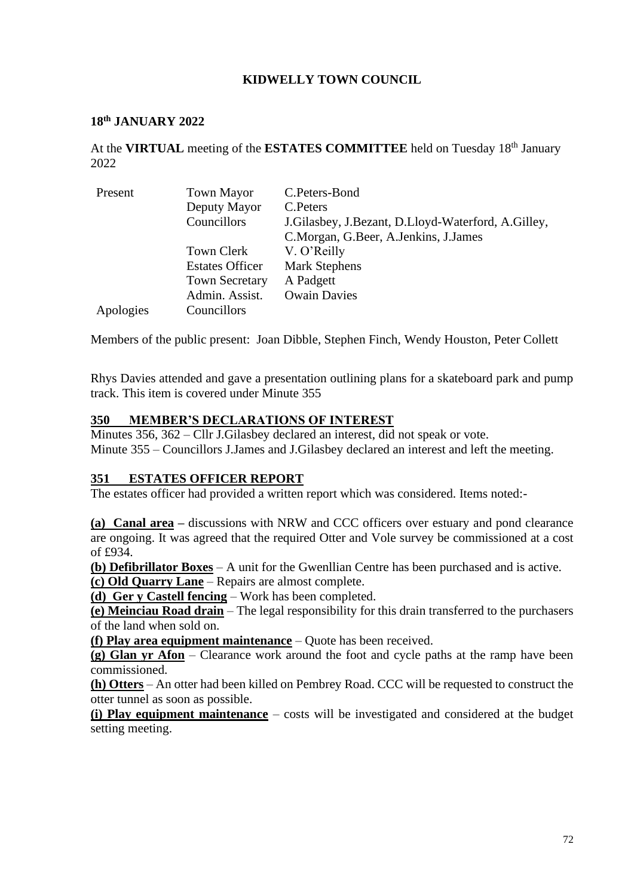# **KIDWELLY TOWN COUNCIL**

#### **18 th JANUARY 2022**

At the VIRTUAL meeting of the ESTATES COMMITTEE held on Tuesday 18<sup>th</sup> January 2022

| Present   | <b>Town Mayor</b>      | C.Peters-Bond                                      |  |
|-----------|------------------------|----------------------------------------------------|--|
|           | Deputy Mayor           | C.Peters                                           |  |
|           | Councillors            | J.Gilasbey, J.Bezant, D.Lloyd-Waterford, A.Gilley, |  |
|           |                        | C.Morgan, G.Beer, A.Jenkins, J.James               |  |
|           | Town Clerk             | V. O'Reilly                                        |  |
|           | <b>Estates Officer</b> | <b>Mark Stephens</b>                               |  |
|           | <b>Town Secretary</b>  | A Padgett                                          |  |
|           | Admin. Assist.         | <b>Owain Davies</b>                                |  |
| Apologies | Councillors            |                                                    |  |

Members of the public present: Joan Dibble, Stephen Finch, Wendy Houston, Peter Collett

Rhys Davies attended and gave a presentation outlining plans for a skateboard park and pump track. This item is covered under Minute 355

#### **350 MEMBER'S DECLARATIONS OF INTEREST**

Minutes 356, 362 – Cllr J.Gilasbey declared an interest, did not speak or vote. Minute 355 – Councillors J.James and J.Gilasbey declared an interest and left the meeting.

### **351 ESTATES OFFICER REPORT**

The estates officer had provided a written report which was considered. Items noted:-

**(a) Canal area –** discussions with NRW and CCC officers over estuary and pond clearance are ongoing. It was agreed that the required Otter and Vole survey be commissioned at a cost of £934.

**(b) Defibrillator Boxes** – A unit for the Gwenllian Centre has been purchased and is active. **(c) Old Quarry Lane** – Repairs are almost complete.

**(d) Ger y Castell fencing** – Work has been completed.

**(e) Meinciau Road drain** – The legal responsibility for this drain transferred to the purchasers of the land when sold on.

**(f) Play area equipment maintenance** – Quote has been received.

**(g) Glan yr Afon** – Clearance work around the foot and cycle paths at the ramp have been commissioned.

**(h) Otters** – An otter had been killed on Pembrey Road. CCC will be requested to construct the otter tunnel as soon as possible.

**(i) Play equipment maintenance** – costs will be investigated and considered at the budget setting meeting.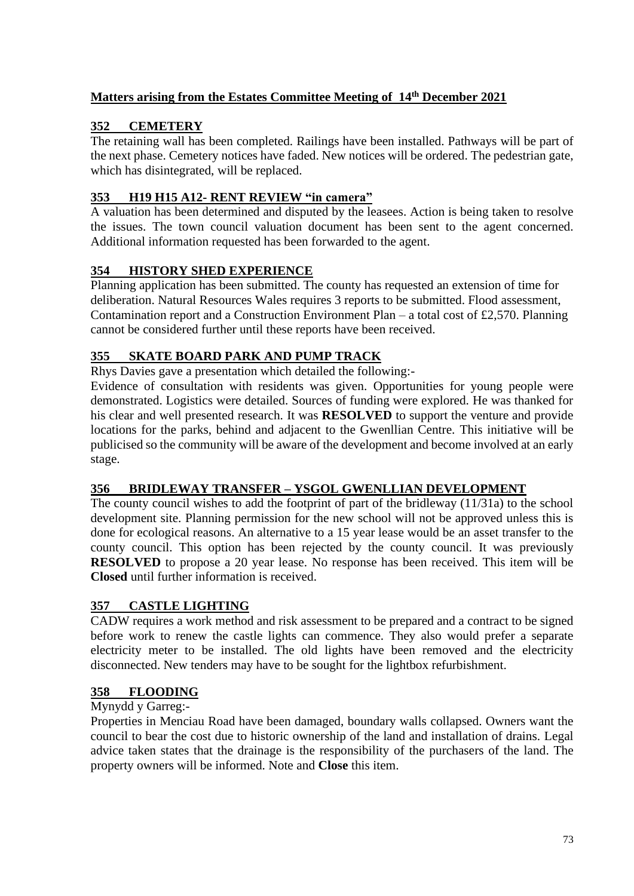# **Matters arising from the Estates Committee Meeting of 14th December 2021**

# **352 CEMETERY**

The retaining wall has been completed. Railings have been installed. Pathways will be part of the next phase. Cemetery notices have faded. New notices will be ordered. The pedestrian gate, which has disintegrated, will be replaced.

### **353 H19 H15 A12- RENT REVIEW "in camera"**

A valuation has been determined and disputed by the leasees. Action is being taken to resolve the issues. The town council valuation document has been sent to the agent concerned. Additional information requested has been forwarded to the agent.

## **354 HISTORY SHED EXPERIENCE**

Planning application has been submitted. The county has requested an extension of time for deliberation. Natural Resources Wales requires 3 reports to be submitted. Flood assessment, Contamination report and a Construction Environment Plan – a total cost of £2,570. Planning cannot be considered further until these reports have been received.

## **355 SKATE BOARD PARK AND PUMP TRACK**

Rhys Davies gave a presentation which detailed the following:-

Evidence of consultation with residents was given. Opportunities for young people were demonstrated. Logistics were detailed. Sources of funding were explored. He was thanked for his clear and well presented research. It was **RESOLVED** to support the venture and provide locations for the parks, behind and adjacent to the Gwenllian Centre. This initiative will be publicised so the community will be aware of the development and become involved at an early stage.

### **356 BRIDLEWAY TRANSFER – YSGOL GWENLLIAN DEVELOPMENT**

The county council wishes to add the footprint of part of the bridleway (11/31a) to the school development site. Planning permission for the new school will not be approved unless this is done for ecological reasons. An alternative to a 15 year lease would be an asset transfer to the county council. This option has been rejected by the county council. It was previously **RESOLVED** to propose a 20 year lease. No response has been received. This item will be **Closed** until further information is received.

### **357 CASTLE LIGHTING**

CADW requires a work method and risk assessment to be prepared and a contract to be signed before work to renew the castle lights can commence. They also would prefer a separate electricity meter to be installed. The old lights have been removed and the electricity disconnected. New tenders may have to be sought for the lightbox refurbishment.

### **358 FLOODING**

### Mynydd y Garreg:-

Properties in Menciau Road have been damaged, boundary walls collapsed. Owners want the council to bear the cost due to historic ownership of the land and installation of drains. Legal advice taken states that the drainage is the responsibility of the purchasers of the land. The property owners will be informed. Note and **Close** this item.